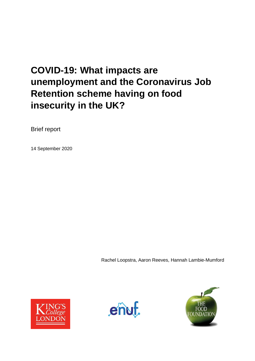# **COVID-19: What impacts are unemployment and the Coronavirus Job Retention scheme having on food insecurity in the UK?**

Brief report

14 September 2020

Rachel Loopstra, Aaron Reeves, Hannah Lambie-Mumford





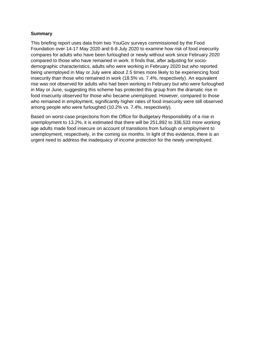# **Summary**

This briefing report uses data from two YouGov surveys commissioned by the Food Foundation over 14-17 May 2020 and 6-8 July 2020 to examine how risk of food insecurity compares for adults who have been furloughed or newly without work since February 2020 compared to those who have remained in work. It finds that, after adjusting for sociodemographic characteristics, adults who were working in February 2020 but who reported being unemployed in May or July were about 2.5 times more likely to be experiencing food insecurity than those who remained in work (18.5% vs. 7.4%, respectively). An equivalent rise was not observed for adults who had been working in February but who were furloughed in May or June, suggesting this scheme has protected this group from the dramatic rise in food insecurity observed for those who became unemployed. However, compared to those who remained in employment, significantly higher rates of food insecurity were still observed among people who were furloughed (10.2% vs. 7.4%, respectively).

Based on worst-case projections from the Office for Budgetary Responsibility of a rise in unemployment to 13.2%, it is estimated that there will be 251,892 to 336,533 more working age adults made food insecure on account of transitions from furlough or employment to unemployment, respectively, in the coming six months. In light of this evidence, there is an urgent need to address the inadequacy of income protection for the newly unemployed.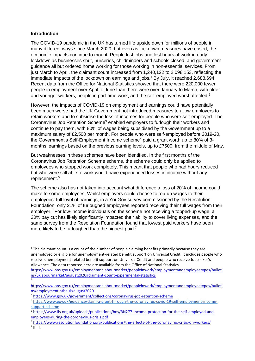#### **Introduction**

The COVID-19 pandemic in the UK has turned life upside down for millions of people in many different ways since March 2020, but even as lockdown measures have eased, the economic impacts continue to mount. People lost jobs and lost hours of work in early lockdown as businesses shut, nurseries, childminders and schools closed, and government guidance all but ordered home working for those working in non-essential services. From just March to April, the claimant count increased from 1,240,122 to 2,098,153, reflecting the immediate impacts of the lockdown on earnings and jobs.<sup>1</sup> By July, it reached 2,688,694. Recent data from the Office for National Statistics showed that there were 220,000 fewer people in employment over April to June than there were over January to March, with older and younger workers, people in part-time work, and the self-employed worst affected.<sup>2</sup>

However, the impacts of COVID-19 on employment and earnings could have potentially been much worse had the UK Government not introduced measures to allow employers to retain workers and to subsidise the loss of incomes for people who were self-employed. The Coronavirus Job Retention Scheme<sup>3</sup> enabled employers to furlough their workers and continue to pay them, with 80% of wages being subsidised by the Government up to a maximum salary of £2,500 per month. For people who were self-employed before 2019-20, the Government's Self-Employment Income scheme<sup>4</sup> paid a grant worth up to 80% of 3months' earnings based on the previous earning levels, up to £7500, from the middle of May.

But weaknesses in these schemes have been identified. In the first months of the Coronavirus Job Retention Scheme scheme, the scheme could only be applied to employees who stopped work completely. This meant that people who had hours reduced but who were still able to work would have experienced losses in income without any replacement.<sup>5</sup>

The scheme also has not taken into account what difference a loss of 20% of income could make to some employees. Whilst employers could choose to top-up wages to their employees' full level of earnings, in a YouGov survey commissioned by the Resolution Foundation, only 21% of furloughed employees reported receiving their full wages from their employer.<sup>6</sup> For low-income individuals on the scheme not receiving a topped-up wage, a 20% pay cut has likely significantly impacted their ability to cover living expenses, and the same survey from the Resolution Foundation found that lowest paid workers have been more likely to be furloughed than the highest paid.<sup>7</sup>

 $1$  The claimant count is a count of the number of people claiming benefits primarily because they are unemployed or eligible for unemployment-related benefit support on Universal Credit. It includes people who receive unemployment-related benefit support on Universal Credit and people who receive Jobseeker's Allowance. The data reported here are available from the Office of National Statistics.

[https://www.ons.gov.uk/employmentandlabourmarket/peopleinwork/employmentandemployeetypes/bulleti](https://www.ons.gov.uk/employmentandlabourmarket/peopleinwork/employmentandemployeetypes/bulletins/uklabourmarket/august2020#claimant-count-experimental-statistics) [ns/uklabourmarket/august2020#claimant-count-experimental-statistics](https://www.ons.gov.uk/employmentandlabourmarket/peopleinwork/employmentandemployeetypes/bulletins/uklabourmarket/august2020#claimant-count-experimental-statistics) 2

[https://www.ons.gov.uk/employmentandlabourmarket/peopleinwork/employmentandemployeetypes/bulleti](https://www.ons.gov.uk/employmentandlabourmarket/peopleinwork/employmentandemployeetypes/bulletins/employmentintheuk/august2020) [ns/employmentintheuk/august2020](https://www.ons.gov.uk/employmentandlabourmarket/peopleinwork/employmentandemployeetypes/bulletins/employmentintheuk/august2020)

<sup>3</sup> [https://www.gov.uk/government/collections/coronavirus-job-retention-scheme](about:blank)

<sup>4</sup> [https://www.gov.uk/guidance/claim-a-grant-through-the-coronavirus-covid-19-self-employment-income](about:blank)[support-scheme](about:blank)

<sup>5</sup> [https://www.ifs.org.uk/uploads/publications/bns/BN277-Income-protection-for-the-self-employed-and](https://www.ifs.org.uk/uploads/publications/bns/BN277-Income-protection-for-the-self-employed-and-employees-during-the-coronavirus-crisis.pdf)[employees-during-the-coronavirus-crisis.pdf](https://www.ifs.org.uk/uploads/publications/bns/BN277-Income-protection-for-the-self-employed-and-employees-during-the-coronavirus-crisis.pdf)

<sup>6</sup> <https://www.resolutionfoundation.org/publications/the-effects-of-the-coronavirus-crisis-on-workers/>  $<sup>7</sup>$  Ibid.</sup>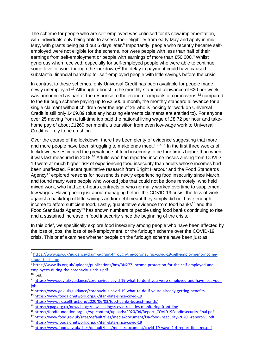The scheme for people who are self-employed was criticised for its slow implementation, with individuals only being able to assess their eligibility from early May and apply in mid-May, with grants being paid out 6 days later.<sup>8</sup> Importantly, people who recently became selfemployed were not eligible for the scheme, nor were people with less than half of their earnings from self-employment or people with earnings of more than £50,000.<sup>9</sup> Whilst generous when received, especially for self-employed people who were able to continue some level of work through the lockdown,<sup>10</sup> the delay in payment could have caused substantial financial hardship for self-employed people with little savings before the crisis.

In contrast to these schemes, only Universal Credit has been available for people made newly unemployed.<sup>11</sup> Although a boost in the monthly standard allowance of £20 per week was announced as part of the response to the economic impacts of coronavirus,<sup>12</sup> compared to the furlough scheme paying up to £2,500 a month, the monthly standard allowance for a single claimant without children over the age of 25 who is looking for work on Universal Credit is still only £409.89 (plus any housing elements claimants are entitled to). For anyone over 25 moving from a full-time job paid the national living wage of £8.72 per hour and takehome pay of about £1260 per month, a transition from even low-wage work to Universal Credit is likely to be crushing.

Over the course of the lockdown, there has been plenty of evidence suggesting that more and more people have been struggling to make ends meet.<sup>13,14,15</sup> In the first three weeks of lockdown, we estimated the prevalence of food insecurity to be four times higher than when it was last measured in 2018.<sup>16</sup> Adults who had reported income losses arising from COVID-19 were at much higher risk of experiencing food insecurity than adults whose incomes had been unaffected. Recent qualitative research from Bright Harbour and the Food Standards Agency<sup>17</sup> explored reasons for households newly experiencing food insecurity since March, and found many were people who worked jobs that could not be done remotely, who held mixed work, who had zero-hours contracts or who normally worked overtime to supplement low wages. Having been just about managing before the COVID-19 crisis, the loss of work against a backdrop of little savings and/or debt meant they simply did not have enough income to afford sufficient food. Lastly, quantitative evidence from food banks<sup>18</sup> and the Food Standards Agency<sup>19</sup> has shown numbers of people using food banks continuing to rise and a sustained increase in food insecurity since the beginning of the crisis.

In this brief, we specifically explore food insecurity among people who have been affected by the loss of jobs, the loss of self-employment, or the furlough scheme over the COVID-19 crisis. This brief examines whether people on the furlough scheme have been just as

<sup>14</sup> <https://www.trusselltrust.org/2020/06/03/food-banks-busiest-month/>

<sup>8</sup> [https://www.gov.uk/guidance/claim-a-grant-through-the-coronavirus-covid-19-self-employment-income](about:blank)[support-scheme](about:blank)

<sup>9</sup> [https://www.ifs.org.uk/uploads/publications/bns/BN277-Income-protection-for-the-self-employed-and](https://www.ifs.org.uk/uploads/publications/bns/BN277-Income-protection-for-the-self-employed-and-employees-during-the-coronavirus-crisis.pdf)[employees-during-the-coronavirus-crisis.pdf](https://www.ifs.org.uk/uploads/publications/bns/BN277-Income-protection-for-the-self-employed-and-employees-during-the-coronavirus-crisis.pdf)

 $10$  Ibid.

<sup>11</sup> [https://www.gov.uk/guidance/coronavirus-covid-19-what-to-do-if-you-were-employed-and-have-lost-your](about:blank)[job](about:blank)

<sup>12</sup> [https://www.gov.uk/guidance/coronavirus-covid-19-what-to-do-if-youre-already-getting-benefits](about:blank)

<sup>13</sup> <https://www.foodaidnetwork.org.uk/ifan-data-since-covid-19>

<sup>15</sup> <https://cpag.org.uk/news-blogs/news-listings/covid-realities-monitoring-front-line>

<sup>16</sup> [https://foodfoundation.org.uk/wp-content/uploads/2020/04/Report\\_COVID19FoodInsecurity-final.pdf](https://foodfoundation.org.uk/wp-content/uploads/2020/04/Report_COVID19FoodInsecurity-final.pdf)

<sup>17</sup> [https://www.food.gov.uk/sites/default/files/media/document/fsa-food-insecurity-2020\\_-report-v5.pdf](https://www.food.gov.uk/sites/default/files/media/document/fsa-food-insecurity-2020_-report-v5.pdf)

<sup>18</sup> <https://www.foodaidnetwork.org.uk/ifan-data-since-covid-19>

<sup>19</sup> <https://www.food.gov.uk/sites/default/files/media/document/covid-19-wave-1-4-report-final-mc.pdf>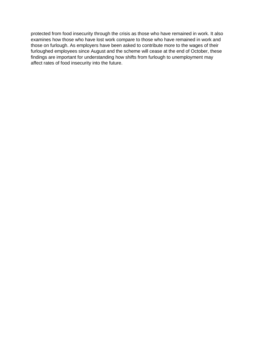protected from food insecurity through the crisis as those who have remained in work. It also examines how those who have lost work compare to those who have remained in work and those on furlough. As employers have been asked to contribute more to the wages of their furloughed employees since August and the scheme will cease at the end of October, these findings are important for understanding how shifts from furlough to unemployment may affect rates of food insecurity into the future.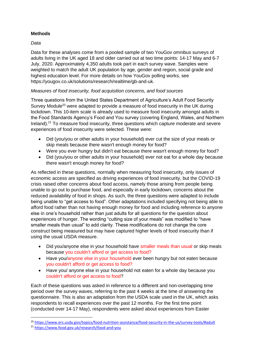# **Methods**

# *Data*

Data for these analyses come from a pooled sample of two YouGov omnibus surveys of adults living in the UK aged 18 and older carried out at two time points: 14-17 May and 6-7 July, 2020. Approximately 4,350 adults took part in each survey wave. Samples were weighted to match the adult UK population by age, gender and region, social grade and highest education level. For more details on how YouGov polling works, see https://yougov.co.uk/solutions/research/realtime/gb-and-uk.

# *Measures of food insecurity, food acquisition concerns, and food sources*

Three questions from the United States Department of Agriculture's Adult Food Security Survey Module<sup>20</sup> were adapted to provide a measure of food insecurity in the UK during lockdown. This 10-item scale is already used to measure food insecurity amongst adults in the Food Standards Agency's Food and You survey (covering England, Wales, and Northern Ireland).<sup>21</sup> To measure food insecurity, three questions which capture moderate and severe experiences of food insecurity were selected. These were:

- Did (you/you or other adults in your household) ever cut the size of your meals or skip meals because there wasn't enough money for food?
- Were you ever hungry but didn't eat because there wasn't enough money for food?
- Did (you/you or other adults in your household) ever not eat for a whole day because there wasn't enough money for food?

As reflected in these questions, normally when measuring food insecurity, only issues of economic access are specified as driving experiences of food insecurity, but the COVID-19 crisis raised other concerns about food access, namely those arising from people being unable to go out to purchase food, and especially in early lockdown, concerns about the reduced availability of food in shops. As such, the three questions were adapted to include being unable to "get access to food". Other adaptations included specifying not being able to afford food rather than not having enough money for food and including reference to anyone else in one's household rather than just adults for all questions for the question about experiences of hunger. The wording "cutting size of your meals" was modified to "have smaller meals than usual" to add clarity. These modifications do not change the core construct being measured but may have captured higher levels of food insecurity than if using the usual USDA measure.

- Did you/anyone else in your household have smaller meals than usual or skip meals because you couldn't afford or get access to food?
- Have you/anyone else in your household ever been hungry but not eaten because you couldn't afford or get access to food?
- Have you/ anyone else in your household not eaten for a whole day because you couldn't afford or get access to food?

Each of these questions was asked in reference to a different and non-overlapping time period over the survey waves, referring to the past 4 weeks at the time of answering the questionnaire. This is also an adaptation from the USDA scale used in the UK, which asks respondents to recall experiences over the past 12 months. For the first time point (conducted over 14-17 May), respondents were asked about experiences from Easter

<sup>20</sup> <https://www.ers.usda.gov/topics/food-nutrition-assistance/food-security-in-the-us/survey-tools/#adult>

<sup>21</sup> <https://www.food.gov.uk/research/food-and-you>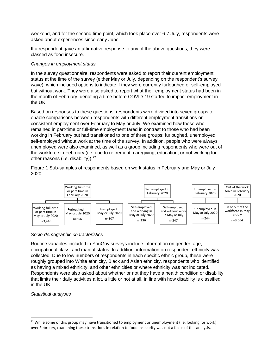weekend, and for the second time point, which took place over 6-7 July, respondents were asked about experiences since early June.

If a respondent gave an affirmative response to any of the above questions, they were classed as food insecure.

#### *Changes in employment status*

In the survey questionnaire, respondents were asked to report their current employment status at the time of the survey (either May or July, depending on the respondent's survey wave), which included options to indicate if they were currently furloughed or self-employed but without work. They were also asked to report what their employment status had been in the month of February, denoting a time before COVID-19 started to impact employment in the UK.

Based on responses to these questions, respondents were divided into seven groups to enable comparisons between respondents with different employment transitions or consistent employment over February to May or July. We examined how those who remained in part-time or full-time employment fared in contrast to those who had been working in February but had transitioned to one of three groups: furloughed, unemployed, self-employed without work at the time of the survey. In addition, people who were always unemployed were also examined, as well as a group including respondents who were out of the workforce in February (i.e. due to retirement, caregiving, education, or not working for other reasons (i.e. disability)).<sup>22</sup>

Figure 1 Sub-samples of respondents based on work status in February and May or July 2020.



# *Socio-demographic characteristics*

Routine variables included in YouGov surveys include information on gender, age, occupational class, and marital status. In addition, information on respondent ethnicity was collected. Due to low numbers of respondents in each specific ethnic group, these were roughly grouped into White ethnicity, Black and Asian ethnicity, respondents who identified as having a mixed ethnicity, and other ethnicities or where ethnicity was not indicated. Respondents were also asked about whether or not they have a health condition or disability that limits their daily activities a lot, a little or not at all, in line with how disability is classified in the UK.

#### *Statistical analyses*

<sup>&</sup>lt;sup>22</sup> While some of this group may have transitioned to employment or unemployment (i.e. looking for work) over February, examining these transitions in relation to food insecurity was not a focus of this analysis.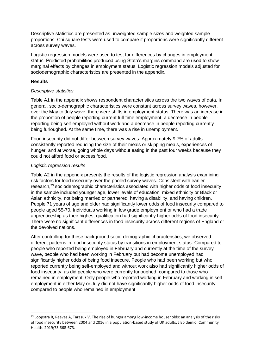Descriptive statistics are presented as unweighted sample sizes and weighted sample proportions. Chi square tests were used to compare if proportions were significantly different across survey waves.

Logistic regression models were used to test for differences by changes in employment status. Predicted probabilities produced using Stata's margins command are used to show marginal effects by changes in employment status. Logistic regression models adjusted for sociodemographic characteristics are presented in the appendix.

# **Results**

#### *Descriptive statistics*

Table A1 in the appendix shows respondent characteristics across the two waves of data. In general, socio-demographic characteristics were constant across survey waves, however, over the May to July wave, there were shifts in employment status. There was an increase in the proportion of people reporting current full-time employment, a decrease in people reporting being self-employed without work and a decrease in people reporting currently being furloughed. At the same time, there was a rise in unemployment.

Food insecurity did not differ between survey waves. Approximately 9.7% of adults consistently reported reducing the size of their meals or skipping meals, experiences of hunger, and at worse, going whole days without eating in the past four weeks because they could not afford food or access food.

# *Logistic regression results*

Table A2 in the appendix presents the results of the logistic regression analysis examining risk factors for food insecurity over the pooled survey waves. Consistent with earlier research,<sup>23</sup> sociodemographic characteristics associated with higher odds of food insecurity in the sample included younger age, lower levels of education, mixed ethnicity or Black or Asian ethnicity, not being married or partnered, having a disability, and having children. People 71 years of age and older had significantly lower odds of food insecurity compared to people aged 55-70. Individuals working in low grade employment or who had a trade apprenticeship as their highest qualification had significantly higher odds of food insecurity. There were no significant differences in food insecurity across different regions of England or the devolved nations.

After controlling for these background socio-demographic characteristics, we observed different patterns in food insecurity status by transitions in employment status. Compared to people who reported being employed in February and currently at the time of the survey wave, people who had been working in February but had become unemployed had significantly higher odds of being food insecure. People who had been working but who reported currently being self-employed and without work also had significantly higher odds of food insecurity, as did people who were currently furloughed, compared to those who remained in employment. Only people who reported working in February and working in selfemployment in either May or July did not have significantly higher odds of food insecurity compared to people who remained in employment.

<sup>&</sup>lt;sup>23</sup> Loopstra R, Reeves A, Tarasuk V. The rise of hunger among low-income households: an analysis of the risks of food insecurity between 2004 and 2016 in a population-based study of UK adults. J Epidemiol Community Health. 2019;73:668-673.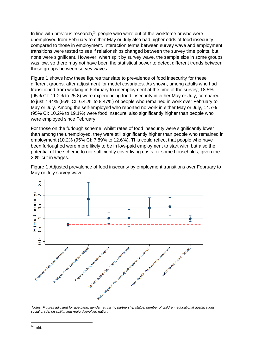In line with previous research, $24$  people who were out of the workforce or who were unemployed from February to either May or July also had higher odds of food insecurity compared to those in employment. Interaction terms between survey wave and employment transitions were tested to see if relationships changed between the survey time points, but none were significant. However, when split by survey wave, the sample size in some groups was low, so there may not have been the statistical power to detect different trends between these groups between survey waves.

Figure 1 shows how these figures translate to prevalence of food insecurity for these different groups, after adjustment for model covariates. As shown, among adults who had transitioned from working in February to unemployment at the time of the survey, 18.5% (95% CI: 11.2% to 25.8) were experiencing food insecurity in either May or July, compared to just 7.44% (95% CI: 6.41% to 8.47%) of people who remained in work over February to May or July. Among the self-employed who reported no work in either May or July, 14.7% (95% CI: 10.2% to 19.1%) were food insecure, also significantly higher than people who were employed since February.

For those on the furlough scheme, whilst rates of food insecurity were significantly lower than among the unemployed, they were still significantly higher than people who remained in employment (10.2% (95% CI: 7.89% to 12.6%). This could reflect that people who have been furloughed were more likely to be in low-paid employment to start with, but also the potential of the scheme to not sufficiently cover living costs for some households, given the 20% cut in wages.

Figure 1 Adjusted prevalence of food insecurity by employment transitions over February to May or July survey wave.



*Notes: Figures adjusted for age band, gender, ethnicity, partnership status, number of children, educational qualifications, social grade, disability, and region/devolved nation.*

 $24$  Ibid.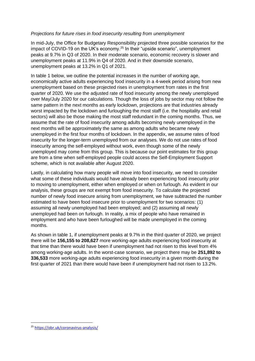#### *Projections for future rises in food insecurity resulting from unemployment*

In mid-July, the Office for Budgetary Responsibility projected three possible scenarios for the impact of COVID-19 on the UK's economy.<sup>25</sup> In their "upside scenario", unemployment peaks at 9.7% in Q3 of 2020. In their moderate scenario, economic recovery is slower and unemployment peaks at 11.9% in Q4 of 2020. And in their downside scenario, unemployment peaks at 13.2% in Q1 of 2021.

In table 1 below, we outline the potential increases in the number of working age, economically active adults experiencing food insecurity in a 4-week period arising from new unemployment based on these projected rises in unemployment from rates in the first quarter of 2020. We use the adjusted rate of food insecurity among the newly unemployed over May/July 2020 for our calculations. Though the loss of jobs by sector may not follow the same pattern in the next months as early lockdown, projections are that industries already worst impacted by the lockdown and furloughing the most staff (i.e. the hospitality and retail sectors) will also be those making the most staff redundant in the coming months. Thus, we assume that the rate of food insecurity among adults becoming newly unemployed in the next months will be approximately the same as among adults who became newly unemployed in the first four months of lockdown. In the appendix, we assume rates of food insecurity for the longer-term unemployed from our analyses. We do not use rates of food insecurity among the self-employed without work, even though some of the newly unemployed may come from this group. This is because our point estimates for this group are from a time when self-employed people could access the Self-Employment Support scheme, which is not available after August 2020.

Lastly, in calculating how many people will move into food insecurity, we need to consider what some of these individuals would have already been experiencing food insecurity prior to moving to unemployment, either when employed or when on furlough. As evident in our analysis, these groups are not exempt from food insecurity. To calculate the projected number of newly food insecure arising from unemployment, we have subtracted the number estimated to have been food insecure prior to unemployment for two scenarios: (1) assuming all newly unemployed had been employed; and (2) assuming all newly unemployed had been on furlough. In reality, a mix of people who have remained in employment and who have been furloughed will be made unemployed in the coming months.

As shown in table 1, if unemployment peaks at 9.7% in the third quarter of 2020, we project there will be **156,155 to 208,627** more working-age adults experiencing food insecurity at that time than there would have been if unemployment had not risen to this level from 4% among working-age adults. In the worst-case scenario, we project there may be **251,892 to 336,533** more working-age adults experiencing food insecurity in a given month during the first quarter of 2021 than there would have been if unemployment had not risen to 13.2%.

<sup>25</sup> <https://obr.uk/coronavirus-analysis/>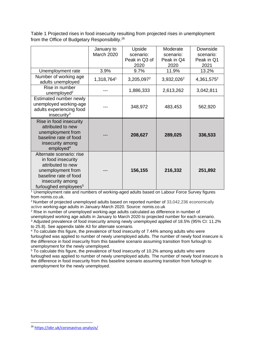|                                                                                                                                                                            | January to<br><b>March 2020</b> | Upside<br>scenario:<br>Peak in Q3 of<br>2020 | Moderate<br>scenario:<br>Peak in Q4<br>2020 | Downside<br>scenario:<br>Peak in Q1<br>2021 |
|----------------------------------------------------------------------------------------------------------------------------------------------------------------------------|---------------------------------|----------------------------------------------|---------------------------------------------|---------------------------------------------|
| Unemployment rate                                                                                                                                                          | 3.9%                            | 9.7%                                         | 11.9%                                       | 13.2%                                       |
| Number of working age<br>adults unemployed                                                                                                                                 | 1,318,7641                      | 3,205,0972                                   | 3,932,026 <sup>2</sup>                      | 4,361,575 <sup>2</sup>                      |
| Rise in number<br>unemployed <sup>2</sup>                                                                                                                                  |                                 | 1,886,333                                    | 2,613,262                                   | 3,042,811                                   |
| Estimated number newly<br>unemployed working-age<br>adults experiencing food<br>insecurity $3$                                                                             |                                 | 348,972                                      | 483,453                                     | 562,920                                     |
| Rise in food insecurity<br>attributed to new<br>unemployment from<br>baseline rate of food<br>insecurity among<br>emploved <sup>4</sup>                                    |                                 | 208,627                                      | 289,025                                     | 336,533                                     |
| Alternate scenario: rise<br>in food insecurity<br>attributed to new<br>unemployment from<br>baseline rate of food<br>insecurity among<br>furloughed employees <sup>5</sup> |                                 | 156,155                                      | 216,332                                     | 251,892                                     |

Table 1 Projected rises in food insecurity resulting from projected rises in unemployment from the Office of Budgetary Responsibility.<sup>26</sup>

<sup>1</sup> Unemployment rate and numbers of working-aged adults based on Labour Force Survey figures from nomis.co.uk.

<sup>2</sup>Number of projected unemployed adults based on reported number of 33,042,236 economically active working-age adults in January-March 2020. Source: nomis.co.uk

<sup>2</sup> Rise in number of unemployed working-age adults calculated as difference in number of unemployed working age adults in January to March 2020 to projected number for each scenario. <sup>3</sup> Adjusted prevalence of food insecurity among newly unemployed applied of 18.5% (95% CI: 11.2% to 25.8). See appendix table A3 for alternate scenario.

<sup>4</sup> To calculate this figure, the prevalence of food insecurity of 7.44% among adults who were furloughed was applied to number of newly unemployed adults. The number of newly food insecure is the difference in food insecurity from this baseline scenario assuming transition from furlough to unemployment for the newly unemployed.

<sup>5</sup> To calculate this figure, the prevalence of food insecurity of 10.2% among adults who were furloughed was applied to number of newly unemployed adults. The number of newly food insecure is the difference in food insecurity from this baseline scenario assuming transition from furlough to unemployment for the newly unemployed.

<sup>26</sup> <https://obr.uk/coronavirus-analysis/>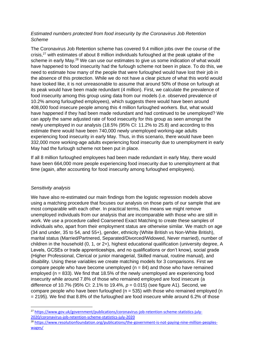# *Estimated numbers protected from food insecurity by the Coronavirus Job Retention Scheme*

The Coronavirus Job Retention scheme has covered 9.4 million jobs over the course of the crisis,<sup>27</sup> with estimates of about 8 million individuals furloughed at the peak uptake of the scheme in early May.<sup>28</sup> We can use our estimates to give us some indication of what would have happened to food insecurity had the furlough scheme not been in place. To do this, we need to estimate how many of the people that were furloughed would have lost their job in the absence of this protection. While we do not have a clear picture of what this world would have looked like, it is not unreasonable to assume that around 50% of those on furlough at its peak would have been made redundant (4 million). First, we calculate the prevalence of food insecurity among this group using data from our models (i.e. observed prevalence of 10.2% among furloughed employees), which suggests there would have been around 408,000 food insecure people among this 4 million furloughed workers. But, what would have happened if they had been made redundant and had continued to be unemployed? We can apply the same adjusted rate of food insecurity for this group as seen amongst the newly unemployed in our analysis (18.5% (95% CI: 11.2% to 25.8) and according to this estimate there would have been 740,000 newly unemployed working-age adults experiencing food insecurity in early May. Thus, in this scenario, there would have been 332,000 more working-age adults experiencing food insecurity due to unemployment in early May had the furlough scheme not been put in place.

If all 8 million furloughed employees had been made redundant in early May, there would have been 664,000 more people experiencing food insecurity due to unemployment at that time (again, after accounting for food insecurity among furloughed employees).

# *Sensitivity analysis*

We have also re-estimated our main findings from the logistic regression models above using a matching procedure that focuses our analysis on those parts of our sample that are most comparable with each other. In practical terms, this means we might remove unemployed individuals from our analysis that are incomparable with those who are still in work. We use a procedure called Coarsened Exact Matching to create these samples of individuals who, apart from their employment status are otherwise similar. We match on age (34 and under, 35 to 54, and 55+), gender, ethnicity (White British vs Non-White British), marital status (Married/Partnered, Separated/Divorced/Widowed, Never married), number of children in the household (0, 1, or 2+), highest educational qualification (university degree, A Levels, GCSEs or trade apprenticeships, and no qualifications or don't know), social grade (Higher Professional, Clerical or junior managerial, Skilled manual, routine manual), and disability. Using these variables we create matching models for 3 comparisons. First we compare people who have become unemployed ( $n = 84$ ) and those who have remained employed ( $n = 833$ ). We find that 18.5% of the newly unemployed are experiencing food insecurity while around 7.8% of those who remained employed are food insecure (a difference of 10.7% (95% CI: 2.1% to 19.4%, *p* = 0.015) (see figure A1). Second, we compare people who have been furloughed ( $n = 535$ ) with those who remained employed (n = 2195). We find that 8.8% of the furloughed are food insecure while around 6.2% of those

<sup>&</sup>lt;sup>27</sup> [https://www.gov.uk/government/publications/coronavirus-job-retention-scheme-statistics-july-](https://www.gov.uk/government/publications/coronavirus-job-retention-scheme-statistics-july-2020/coronavirus-job-retention-scheme-statistics-july-2020)[2020/coronavirus-job-retention-scheme-statistics-july-2020](https://www.gov.uk/government/publications/coronavirus-job-retention-scheme-statistics-july-2020/coronavirus-job-retention-scheme-statistics-july-2020)

<sup>&</sup>lt;sup>28</sup> [https://www.resolutionfoundation.org/publications/the-government-is-not-paying-nine-million-peoples](https://www.resolutionfoundation.org/publications/the-government-is-not-paying-nine-million-peoples-wages/)[wages/](https://www.resolutionfoundation.org/publications/the-government-is-not-paying-nine-million-peoples-wages/)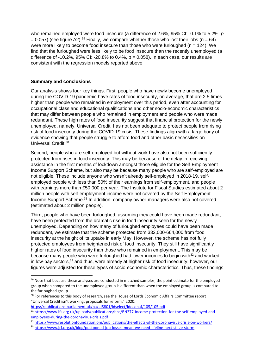who remained employed were food insecure (a difference of 2.6%, 95% CI: -0.1% to 5.2%, *p*  $= 0.057$ ) (see figure A2).<sup>29</sup> Finally, we compare whether those who lost their jobs (n = 64) were more likely to become food insecure than those who were furloughed ( $n = 124$ ). We find that the furloughed were less likely to be food insecure than the recently unemployed (a difference of -10.2%, 95% CI: -20.8% to 0.4%,  $p = 0.058$ ). In each case, our results are consistent with the regression models reported above.

#### **Summary and conclusions**

Our analysis shows four key things. First, people who have newly become unemployed during the COVID-19 pandemic have rates of food insecurity, on average, that are 2.5 times higher than people who remained in employment over this period, even after accounting for occupational class and educational qualifications and other socio-economic characteristics that may differ between people who remained in employment and people who were made redundant. These high rates of food insecurity suggest that financial protection for the newly unemployed, namely, Universal Credit, has not been adequate to protect people from rising risk of food insecurity during the COVID-19 crisis. These findings align with a large body of evidence showing that people struggle to afford food and other basic necessities on Universal Credit.<sup>30</sup>

Second, people who are self-employed but without work have also not been sufficiently protected from rises in food insecurity. This may be because of the delay in receiving assistance in the first months of lockdown amongst those eligible for the Self-Employment Income Support Scheme, but also may be because many people who are self-employed are not eligible. These include anyone who wasn't already self-employed in 2018-19, selfemployed people with less than 50% of their earnings from self-employment, and people with earnings more than £50,000 per year. The Institute for Fiscal Studies estimated about 2 million people with self-employment income were not covered by the Self-Employment Income Support Scheme.<sup>31</sup> In addition, company owner-managers were also not covered (estimated about 2 million people).

Third, people who have been furloughed, assuming they could have been made redundant, have been protected from the dramatic rise in food insecurity seen for the newly unemployed. Depending on how many of furloughed employees could have been made redundant, we estimate that the scheme protected from 332,000-664,000 from food insecurity at the height of its uptake in early May. However, the scheme has not fully protected employees from heightened risk of food insecurity. They still have significantly higher rates of food insecurity than those who remained in employment. This may be because many people who were furloughed had lower incomes to begin with $32$  and worked in low-pay sectors, <sup>33</sup> and thus, were already at higher risk of food insecurity; however, our figures were adjusted for these types of socio-economic characteristics. Thus, these findings

<https://publications.parliament.uk/pa/ld5801/ldselect/ldeconaf/105/105.pdf>

<sup>&</sup>lt;sup>29</sup> Note that because these analyses are conducted in matched samples, the point estimate for the employed group when compared to the unemployed group is different than when the employed group is compared to the furloughed group.

<sup>&</sup>lt;sup>30</sup> For references to this body of research, see the House of Lords Economic Affairs Committee report "Universal Credit isn't working: proposals for reform." 2020.

<sup>31</sup> [https://www.ifs.org.uk/uploads/publications/bns/BN277-Income-protection-for-the-self-employed-and](https://www.ifs.org.uk/uploads/publications/bns/BN277-Income-protection-for-the-self-employed-and-employees-during-the-coronavirus-crisis.pdf)[employees-during-the-coronavirus-crisis.pdf](https://www.ifs.org.uk/uploads/publications/bns/BN277-Income-protection-for-the-self-employed-and-employees-during-the-coronavirus-crisis.pdf)

<sup>32</sup> <https://www.resolutionfoundation.org/publications/the-effects-of-the-coronavirus-crisis-on-workers/>

<sup>33</sup> <https://www.jrf.org.uk/blog/postponed-job-losses-mean-we-need-lifeline-next-stage-storm>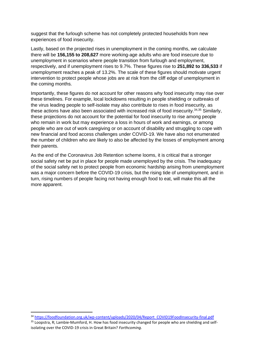suggest that the furlough scheme has not completely protected households from new experiences of food insecurity.

Lastly, based on the projected rises in unemployment in the coming months, we calculate there will be **156,155 to 208,627** more working-age adults who are food insecure due to unemployment in scenarios where people transition from furlough and employment, respectively, and if unemployment rises to 9.7%. These figures rise to **251,892 to 336,533** if unemployment reaches a peak of 13.2%. The scale of these figures should motivate urgent intervention to protect people whose jobs are at risk from the cliff edge of unemployment in the coming months.

Importantly, these figures do not account for other reasons why food insecurity may rise over these timelines. For example, local lockdowns resulting in people shielding or outbreaks of the virus leading people to self-isolate may also contribute to rises in food insecurity, as these actions have also been associated with increased risk of food insecurity.<sup>34,35</sup> Similarly, these projections do not account for the potential for food insecurity to rise among people who remain in work but may experience a loss in hours of work and earnings, or among people who are out of work caregiving or on account of disability and struggling to cope with new financial and food access challenges under COVID-19. We have also not enumerated the number of children who are likely to also be affected by the losses of employment among their parents.

As the end of the Coronavirus Job Retention scheme looms, it is critical that a stronger social safety net be put in place for people made unemployed by the crisis. The inadequacy of the social safety net to protect people from economic hardship arising from unemployment was a major concern before the COVID-19 crisis, but the rising tide of unemployment, and in turn, rising numbers of people facing not having enough food to eat, will make this all the more apparent.

<sup>34</sup> [https://foodfoundation.org.uk/wp-content/uploads/2020/04/Report\\_COVID19FoodInsecurity-final.pdf](https://foodfoundation.org.uk/wp-content/uploads/2020/04/Report_COVID19FoodInsecurity-final.pdf)

<sup>35</sup> Loopstra, R; Lambie-Mumford, H. How has food insecurity changed for people who are shielding and selfisolating over the COVID-19 crisis in Great Britain? *Forthcoming.*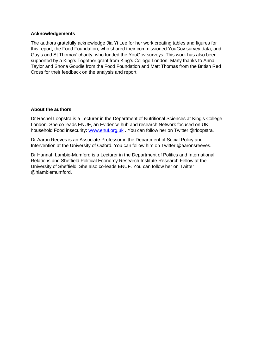#### **Acknowledgements**

The authors gratefully acknowledge Jia Yi Lee for her work creating tables and figures for this report; the Food Foundation, who shared their commissioned YouGov survey data; and Guy's and St Thomas' charity, who funded the YouGov surveys. This work has also been supported by a King's Together grant from King's College London. Many thanks to Anna Taylor and Shona Goudie from the Food Foundation and Matt Thomas from the British Red Cross for their feedback on the analysis and report.

#### **About the authors**

Dr Rachel Loopstra is a Lecturer in the Department of Nutritional Sciences at King's College London. She co-leads ENUF, an Evidence hub and research Network focused on UK household Food insecurity: [www.enuf.org.uk](http://www.enuf.org.uk/) . You can follow her on Twitter @rloopstra.

Dr Aaron Reeves is an Associate Professor in the Department of Social Policy and Intervention at the University of Oxford. You can follow him on Twitter @aaronsreeves.

Dr Hannah Lambie-Mumford is a Lecturer in the Department of Politics and International Relations and Sheffield Political Economy Research Institute Research Fellow at the University of Sheffield. She also co-leads ENUF. You can follow her on Twitter @hlambiemumford.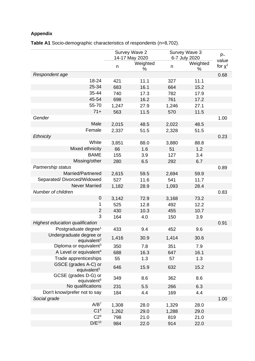# **Appendix**

**Table A1** Socio-demographic characteristics of respondents (n=8,702).

|                                                    | Survey Wave 2<br>14-17 May 2020 |               | Survey Wave 3<br>6-7 July 2020 |               | $P -$                 |
|----------------------------------------------------|---------------------------------|---------------|--------------------------------|---------------|-----------------------|
|                                                    | n                               | Weighted<br>% | n                              | Weighted<br>% | value<br>for $\chi^2$ |
| Respondent age                                     |                                 |               |                                |               | 0.68                  |
| 18-24                                              | 421                             | 11.1          | 327                            | 11.1          |                       |
| 25-34                                              | 683                             | 16.1          | 664                            | 15.2          |                       |
| 35-44                                              | 740                             | 17.3          | 782                            | 17.9          |                       |
| 45-54                                              | 698                             | 16.2          | 761                            | 17.2          |                       |
| 55-70                                              | 1,247                           | 27.9          | 1,246                          | 27.1          |                       |
| $71+$                                              | 563                             | 11.5          | 570                            | 11.5          |                       |
| Gender                                             |                                 |               |                                |               | 1.00                  |
| Male                                               | 2,015                           | 48.5          | 2,022                          | 48.5          |                       |
| Female                                             | 2,337                           | 51.5          | 2,328                          | 51.5          |                       |
| <b>Ethnicity</b>                                   |                                 |               |                                |               | 0.23                  |
| White                                              | 3,851                           | 88.0          | 3,880                          | 88.8          |                       |
| Mixed ethnicity                                    | 66                              | 1.6           | 51                             | 1.2           |                       |
| <b>BAME</b>                                        | 155                             | 3.9           | 127                            | 3.4           |                       |
| Missing/other                                      | 280                             | 6.5           | 292                            | 6.7           |                       |
| Partnership status                                 |                                 |               |                                |               | 0.89                  |
| Married/Partnered                                  | 2,615                           | 59.5          | 2,694                          | 59.9          |                       |
| Separated/Divorced/Widowed                         | 527                             | 11.6          | 541                            | 11.7          |                       |
| <b>Never Married</b>                               | 1,182                           | 28.9          | 1,093                          | 28.4          |                       |
| Number of children                                 |                                 |               |                                |               | 0.83                  |
| 0                                                  | 3,142                           | 72.9          | 3,168                          | 73.2          |                       |
| 1                                                  | 525                             | 12.8          | 492                            | 12.2          |                       |
| $\overline{2}$                                     | 430                             | 10.3          | 455                            | 10.7          |                       |
| 3                                                  | 164                             | 4.0           | 150                            | 3.9           |                       |
| <b>Highest education qualification</b>             |                                 |               |                                |               | 0.91                  |
| Postgraduate degree <sup>1</sup>                   | 433                             | 9.4           | 452                            | 9.6           |                       |
| Undergraduate degree or<br>equivalent <sup>2</sup> | 1,416                           | 30.9          | 1,414                          | 30.6          |                       |
| Diploma or equivalent <sup>3</sup>                 | 350                             | 7.8           | 351                            | 7.9           |                       |
| A Level or equivalent <sup>4</sup>                 | 688                             | 16.3          | 647                            | 16.1          |                       |
| Trade apprenticeships                              | 55                              | 1.3           | 57                             | 1.3           |                       |
| GSCE (grades A-C) or<br>equivalent <sup>5</sup>    | 646                             | 15.9          | 632                            | 15.2          |                       |
| GCSE (grades D-G) or<br>equivalent <sup>6</sup>    | 349                             | 8.6           | 362                            | 8.6           |                       |
| No qualifications                                  | 231                             | 5.5           | 266                            | 6.3           |                       |
| Don't know/prefer not to say                       | 184                             | 4.4           | 169                            | 4.4           |                       |
| Social grade                                       |                                 |               |                                |               | 1.00                  |
| A/B <sup>7</sup>                                   | 1,308                           | 28.0          | 1,329                          | 28.0          |                       |
| C1 <sup>8</sup>                                    | 1,262                           | 29.0          | 1,288                          | 29.0          |                       |
| C2 <sup>9</sup>                                    | 798                             | 21.0          | 819                            | 21.0          |                       |
| $D/E^{10}$                                         | 984                             | 22.0          | 914                            | 22.0          |                       |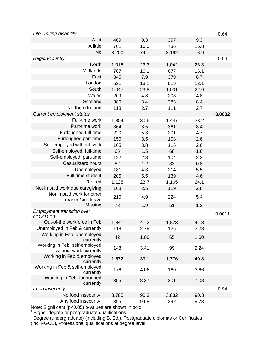| Life-limiting disability                                |       |      |       |      | 0.64   |  |
|---------------------------------------------------------|-------|------|-------|------|--------|--|
| A lot                                                   | 409   | 9.3  | 397   | 9.3  |        |  |
| A little                                                | 701   | 16.0 | 736   | 16.8 |        |  |
| <b>No</b>                                               | 3,200 | 74.7 | 3,192 | 73.9 |        |  |
| Region/country                                          |       |      |       |      | 0.94   |  |
| <b>North</b>                                            | 1,015 | 23.3 | 1,042 | 23.3 |        |  |
| Midlands                                                | 707   | 16.1 | 677   | 16.1 |        |  |
| East                                                    | 345   | 7.9  | 379   | 8.7  |        |  |
| London                                                  | 531   | 13.1 | 519   | 13.1 |        |  |
| South                                                   | 1,047 | 23.8 | 1,031 | 22.9 |        |  |
| Wales                                                   | 209   | 4.8  | 208   | 4.8  |        |  |
| Scotland                                                | 380   | 8.4  | 383   | 8.4  |        |  |
| Northern Ireland                                        | 118   | 2.7  | 111   | 2.7  |        |  |
| <b>Current employment status</b>                        |       |      |       |      | 0.0002 |  |
| Full-time work                                          | 1,304 | 30.6 | 1,447 | 33.2 |        |  |
| Part-time work                                          | 364   | 8.5  | 361   | 8.4  |        |  |
| Furloughed full-time                                    | 220   | 5.3  | 201   | 4.7  |        |  |
| Furloughed part-time                                    | 150   | 3.5  | 108   | 2.6  |        |  |
| Self-employed without work                              | 165   | 3.8  | 116   | 2.6  |        |  |
| Self-employed, full-time                                | 65    | 1.5  | 68    | 1.6  |        |  |
| Self-employed, part-time                                | 122   | 2.8  | 104   | 2.3  |        |  |
| Casual/zero hours                                       | 52    | 1.2  | 33    | 0.8  |        |  |
| Unemployed                                              | 181   | 4.3  | 214   | 5.5  |        |  |
| Full-time student                                       | 205   | 5.5  | 139   | 4.6  |        |  |
| <b>Retired</b>                                          | 1,128 | 23.7 | 1,165 | 24.1 |        |  |
| Not in paid work due caregiving                         | 108   | 2.5  | 119   | 2.8  |        |  |
| Not in paid work for other<br>reason/sick leave         | 210   | 4.9  | 224   | 5.4  |        |  |
| Missing                                                 | 78    | 1.9  | 51    | 1.3  |        |  |
| Employment transition over<br>COVID-19                  |       |      |       |      | 0.0011 |  |
| Out-of-the workforce in Feb                             | 1,841 | 41.2 | 1,823 | 41.3 |        |  |
| Unemployed in Feb & currently                           | 118   | 2.79 | 126   | 3.28 |        |  |
| Working in Feb, unemployed<br>currently                 | 42    | 1.06 | 65    | 1.60 |        |  |
| Working in Feb, self-employed<br>without work currently | 148   | 3.41 | 99    | 2.24 |        |  |
| Working in Feb & employed<br>currently                  | 1,672 | 39.1 | 1,776 | 40.8 |        |  |
| Working in Feb & self-employed<br>currently             | 176   | 4.06 | 160   | 3.66 |        |  |
| Working in Feb, furloughed<br>currently                 | 355   | 8.37 | 301   | 7.08 |        |  |
| Food insecurity                                         |       |      |       |      | 0.94   |  |
| No food insecurity                                      | 3,785 | 90.3 | 3,832 | 90.3 |        |  |
| Any food insecurity                                     | 395   | 9.68 | 392   | 9.73 |        |  |
| Note: Significant $(n-0.05)$ p values are shown in hold |       |      |       |      |        |  |

Note: Significant (p<0.05) p-values are shown in bold.

<sup>1</sup> Higher degree or postgraduate qualifications

 $2$  Degree (undergraduate) (including B. Ed.), Postgraduate diplomas or Certificates (inc. PGCE), Professional qualifications at degree level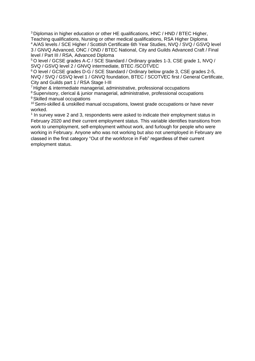<sup>3</sup> Diplomas in higher education or other HE qualifications, HNC / HND / BTEC Higher, Teaching qualifications, Nursing or other medical qualifications, RSA Higher Diploma <sup>4</sup> A/AS levels / SCE Higher / Scottish Certificate 6th Year Studies, NVQ / SVQ / GSVQ level 3 / GNVQ Advanced, ONC / OND / BTEC National, City and Guilds Advanced Craft / Final level / Part III / RSA, Advanced Diploma

<sup>5</sup> O level / GCSE grades A-C / SCE Standard / Ordinary grades 1-3, CSE grade 1, NVQ / SVQ / GSVQ level 2 / GNVQ intermediate, BTEC /SCOTVEC

<sup>6</sup> O level / GCSE grades D-G / SCE Standard / Ordinary below grade 3, CSE grades 2-5, NVQ / SVQ / GSVQ level 1 / GNVQ foundation, BTEC / SCOTVEC first / General Certificate, City and Guilds part 1 / RSA Stage I-III

<sup>7</sup> Higher & intermediate managerial, administrative, professional occupations

<sup>8</sup> Supervisory, clerical & junior managerial, administrative, professional occupations <sup>9</sup> Skilled manual occupations

<sup>10</sup> Semi-skilled & unskilled manual occupations, lowest grade occupations or have never worked.

<sup>1</sup> In survey wave 2 and 3, respondents were asked to indicate their employment status in February 2020 and their current employment status. This variable identifies transitions from work to unemployment, self-employment without work, and furlough for people who were working in February. Anyone who was not working but also not unemployed in February are classed in the first category "Out of the workforce in Feb" regardless of their current employment status.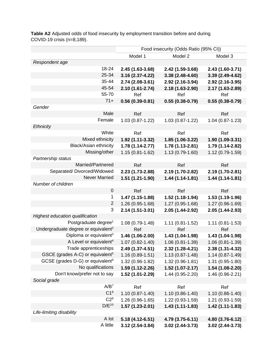|                                                 | Food insecurity (Odds Ratio (95% CI)) |                     |                     |  |
|-------------------------------------------------|---------------------------------------|---------------------|---------------------|--|
|                                                 | Model 1                               | Model 2             | Model 3             |  |
| Respondent age                                  |                                       |                     |                     |  |
| 18-24                                           | 2.45 (1.63-3.68)                      | 2.42 (1.59-3.68)    | 2.43 (1.60-3.71)    |  |
| 25-34                                           | 3.16 (2.37-4.22)                      | 3.38 (2.48-4.60)    | 3.39 (2.49-4.62)    |  |
| 35-44                                           | 2.74 (2.08-3.61)                      | 2.92 (2.16-3.94)    | 2.92 (2.16-3.95)    |  |
| 45-54                                           | 2.10 (1.61-2.74)                      | 2.18 (1.63-2.90)    | 2.17 (1.63-2.89)    |  |
| 55-70                                           | Ref                                   | Ref                 | Ref                 |  |
| $71+$                                           | $0.56(0.39-0.81)$                     | $0.55(0.38-0.79)$   | $0.55(0.38-0.79)$   |  |
| Gender                                          |                                       |                     |                     |  |
| Male                                            | Ref                                   | Ref                 | Ref                 |  |
| Female                                          | 1.03 (0.87-1.22)                      | 1.03 (0.87-1.22)    | 1.04 (0.87-1.23)    |  |
| <b>Ethnicity</b>                                |                                       |                     |                     |  |
| White                                           | Ref                                   | Ref                 | Ref                 |  |
| Mixed ethnicity                                 | 1.92 (1.11-3.32)                      | 1.85 (1.06-3.22)    | 1.90 (1.09-3.31)    |  |
| <b>Black/Asian ethnicity</b>                    | 1.78 (1.14-2.77)                      | 1.78 (1.13-2.81)    | 1.79 (1.14-2.82)    |  |
| Missing/other                                   | $1.15(0.81 - 1.62)$                   | 1.13 (0.79-1.60)    | 1.12 (0.79-1.59)    |  |
| Partnership status                              |                                       |                     |                     |  |
| Married/Partnered                               | Ref                                   | Ref                 | Ref                 |  |
| Separated/Divorced/Widowed                      | 2.23 (1.73-2.88)                      | 2.19 (1.70-2.82)    | 2.19 (1.70-2.81)    |  |
| <b>Never Married</b>                            | 1.51 (1.21-1.90)                      | $1.44(1.14-1.81)$   | 1.44 (1.14-1.81)    |  |
| Number of children                              |                                       |                     |                     |  |
| $\boldsymbol{0}$                                | Ref                                   | Ref                 | Ref                 |  |
| 1                                               | 1.47 (1.15-1.88)                      | 1.52 (1.18-1.94)    | 1.53 (1.19-1.96)    |  |
| $\overline{2}$                                  | 1.26 (0.95-1.68)                      | $1.27(0.95-1.68)$   | 1.27 (0.96-1.69)    |  |
| 3                                               | 2.14 (1.51-3.01)                      | 2.05 (1.44-2.92)    | 2.05 (1.44-2.93)    |  |
| Highest education qualification                 |                                       |                     |                     |  |
| Postgraduate degree <sup>1</sup>                | 1.08 (0.79-1.48)                      | 1.11 (0.81-1.52)    | $1.11(0.81 - 1.53)$ |  |
| Undergraduate degree or equivalent <sup>2</sup> | Ref                                   | Ref                 | Ref                 |  |
| Diploma or equivalent <sup>3</sup>              | 1.46 (1.06-2.00)                      | 1.43 (1.04-1.98)    | 1.43 (1.04-1.98)    |  |
| A Level or equivalent <sup>4</sup>              | $1.07(0.82 - 1.40)$                   | 1.06 (0.81-1.39)    | 1.06 (0.81-1.39)    |  |
| Trade apprenticeships                           | 2.49 (1.37-4.51)                      | 2.32 (1.28-4.21)    | 2.38 (1.31-4.32)    |  |
| GSCE (grades A-C) or equivalent <sup>5</sup>    | $1.16(0.89 - 1.51)$                   | $1.13(0.87 - 1.48)$ | $1.14(0.87 - 1.49)$ |  |
| GCSE (grades D-G) or equivalent <sup>6</sup>    | 1.32 (0.96-1.82)                      | $1.32(0.96 - 1.81)$ | 1.31 (0.95-1.80)    |  |
| No qualifications                               | 1.59 (1.12-2.26)                      | 1.52 (1.07-2.17)    | 1.54 (1.08-2.20)    |  |
| Don't know/prefer not to say                    | 1.52 (1.01-2.29)                      | 1.44 (0.95-2.20)    | 1.46 (0.96-2.21)    |  |
| Social grade                                    |                                       |                     |                     |  |
| A/B <sup>7</sup>                                | Ref                                   | Ref                 | Ref                 |  |
| C1 <sup>8</sup>                                 | $1.10(0.87 - 1.40)$                   | $1.10(0.86 - 1.40)$ | $1.10(0.86 - 1.40)$ |  |
| C2 <sup>9</sup>                                 | 1.26 (0.96-1.65)                      | 1.22 (0.93-1.59)    | 1.21 (0.93-1.59)    |  |
| $D/E^{10}$                                      | $1.57(1.23 - 2.01)$                   | $1.43(1.11-1.83)$   | 1.42 (1.11-1.83)    |  |
| Life-limiting disability                        |                                       |                     |                     |  |
| A lot                                           | $5.18(4.12 - 6.51)$                   | 4.79 (3.75-6.11)    | 4.80 (3.76-6.12)    |  |
| A little                                        | $3.12(2.54-3.84)$                     | $3.02(2.44-3.73)$   | $3.02(2.44-3.73)$   |  |

**Table A2** Adjusted odds of food insecurity by employment transition before and during COVID-19 crisis (n=8,189).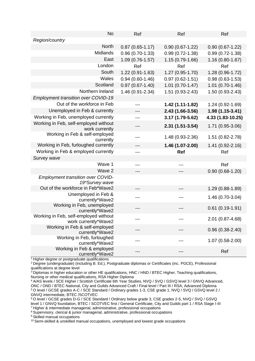| <b>No</b>                                                     | Ref                 | Ref                 | Ref                 |
|---------------------------------------------------------------|---------------------|---------------------|---------------------|
| Region/country                                                |                     |                     |                     |
| <b>North</b>                                                  | $0.87(0.65 - 1.17)$ | $0.90(0.67 - 1.22)$ | $0.90(0.67-1.22)$   |
| <b>Midlands</b>                                               | $0.96(0.70-1.33)$   | $0.99(0.72-1.38)$   | $0.99(0.72-1.38)$   |
| East                                                          | 1.09 (0.76-1.57)    | 1.15 (0.79-1.66)    | $1.16(0.80 - 1.67)$ |
| London                                                        | Ref                 | Ref                 | Ref                 |
| South                                                         | 1.22 (0.91-1.63)    | 1.27 (0.95-1.70)    | 1.28 (0.96-1.72)    |
| Wales                                                         | $0.94(0.60-1.46)$   | $0.97(0.62 - 1.51)$ | $0.98(0.63-1.53)$   |
| Scotland                                                      | $0.97(0.67 - 1.40)$ | 1.01 (0.70-1.47)    | 1.01 (0.70-1.46)    |
| Northern Ireland                                              | 1.46 (0.91-2.34)    | 1.51 (0.93-2.43)    | 1.50 (0.93-2.43)    |
| <b>Employment transition over COVID-19</b>                    |                     |                     |                     |
| Out of the workforce in Feb                                   |                     | 1.42 (1.11-1.82)    | 1.24 (0.92-1.69)    |
| Unemployed in Feb & currently                                 | ---                 | 2.43 (1.66-3.56)    | $1.98(1.15-3.41)$   |
| Working in Feb, unemployed currently                          |                     | 3.17 (1.79-5.62)    | 4.33 (1.83-10.25)   |
| Working in Feb, self-employed without<br>work currently       | ---                 | $2.31(1.51-3.54)$   | 1.71 (0.95-3.06)    |
| Working in Feb & self-employed<br>currently                   | ---                 | 1.48 (0.93-2.36)    | 1.51 (0.82-2.78)    |
| Working in Feb, furloughed currently                          | ---                 | 1.46 (1.07-2.00)    | 1.41 (0.92-2.16)    |
| Working in Feb & employed currently                           | ---                 | <b>Ref</b>          | Ref                 |
| Survey wave                                                   |                     |                     |                     |
| Wave 1                                                        | ---                 | ---                 | Ref                 |
| Wave 2                                                        |                     |                     | $0.90(0.68-1.20)$   |
| <b>Employment transition over COVID-</b><br>19*Survey wave    |                     |                     |                     |
| Out of the workforce in Feb*Wave2                             | $---$               | ---                 | 1.29 (0.88-1.89)    |
| Unemployed in Feb &<br>currently*Wave2                        |                     |                     | 1.46 (0.70-3.04)    |
| Working in Feb, unemployed<br>currently*Wave2                 |                     |                     | $0.61(0.19-1.91)$   |
| Working in Feb, self-employed without<br>work currently*Wave2 | ---                 |                     | 2.01 (0.87-4.68)    |
| Working in Feb & self-employed<br>currently*Wave2             |                     |                     | $0.96(0.38-2.40)$   |
| Working in Feb, furloughed<br>currently*Wave2                 |                     |                     | $1.07(0.58-2.00)$   |
| Working in Feb & employed<br>currently*Wave2                  |                     |                     | Ref                 |

 $1$  Higher degree or postgraduate qualifications

<sup>2</sup> Degree (undergraduate) (including B. Ed.), Postgraduate diplomas or Certificates (inc. PGCE), Professional qualifications at degree level

<sup>3</sup> Diplomas in higher education or other HE qualifications, HNC / HND / BTEC Higher, Teaching qualifications, Nursing or other medical qualifications, RSA Higher Diploma

<sup>4</sup> A/AS levels / SCE Higher / Scottish Certificate 6th Year Studies, NVQ / SVQ / GSVQ level 3 / GNVQ Advanced, ONC / OND / BTEC National, City and Guilds Advanced Craft / Final level / Part III / RSA, Advanced Diploma <sup>5</sup> O level / GCSE grades A-C / SCE Standard / Ordinary grades 1-3, CSE grade 1, NVQ / SVQ / GSVQ level 2 / GNVQ intermediate, BTEC /SCOTVEC

<sup>6</sup> O level / GCSE grades D-G / SCE Standard / Ordinary below grade 3, CSE grades 2-5, NVQ / SVQ / GSVQ level 1 / GNVQ foundation, BTEC / SCOTVEC first / General Certificate, City and Guilds part 1 / RSA Stage I-III

<sup>7</sup> Higher & intermediate managerial, administrative, professional occupations

<sup>8</sup> Supervisory, clerical & junior managerial, administrative, professional occupations

<sup>9</sup> Skilled manual occupations

<sup>10</sup> Semi-skilled & unskilled manual occupations, unemployed and lowest grade occupations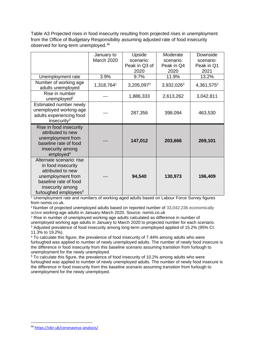Table A3 Projected rises in food insecurity resulting from projected rises in unemployment from the Office of Budgetary Responsibility assuming adjusted rate of food insecurity observed for long-term unemployed.<sup>36</sup>

|                                                                                                                                                                            | January to<br>March 2020 | Upside<br>scenario:<br>Peak in Q3 of<br>2020 | Moderate<br>scenario:<br>Peak in Q4<br>2020 | Downside<br>scenario:<br>Peak in Q1<br>2021 |
|----------------------------------------------------------------------------------------------------------------------------------------------------------------------------|--------------------------|----------------------------------------------|---------------------------------------------|---------------------------------------------|
| Unemployment rate                                                                                                                                                          | 3.9%                     | 9.7%                                         | 11.9%                                       | 13.2%                                       |
| Number of working age<br>adults unemployed                                                                                                                                 | 1,318,7641               | 3,205,097 <sup>2</sup>                       | 3,932,026 <sup>2</sup>                      | 4,361,575 <sup>2</sup>                      |
| Rise in number<br>unemployed <sup>2</sup>                                                                                                                                  |                          | 1,886,333                                    | 2,613,262                                   | 3,042,811                                   |
| Estimated number newly<br>unemployed working-age<br>adults experiencing food<br>insecurity $3$                                                                             |                          | 287,356                                      | 398,094                                     | 463,530                                     |
| Rise in food insecurity<br>attributed to new<br>unemployment from<br>baseline rate of food<br>insecurity among<br>employed <sup>4</sup>                                    |                          | 147,012                                      | 203,666                                     | 269,101                                     |
| Alternate scenario: rise<br>in food insecurity<br>attributed to new<br>unemployment from<br>baseline rate of food<br>insecurity among<br>furloughed employees <sup>5</sup> |                          | 94,540                                       | 130,973                                     | 196,409                                     |

<sup>1</sup> Unemployment rate and numbers of working-aged adults based on Labour Force Survey figures from nomis.co.uk.

<sup>2</sup>Number of projected unemployed adults based on reported number of 33,042,236 economically active working-age adults in January-March 2020. Source: nomis.co.uk

<sup>2</sup> Rise in number of unemployed working-age adults calculated as difference in number of unemployed working age adults in January to March 2020 to projected number for each scenario. <sup>3</sup> Adjusted prevalence of food insecurity among long-term unemployed applied of 15.2% (95% CI: 11.3% to 19.2%).

<sup>4</sup> To calculate this figure, the prevalence of food insecurity of 7.44% among adults who were furloughed was applied to number of newly unemployed adults. The number of newly food insecure is the difference in food insecurity from this baseline scenario assuming transition from furlough to unemployment for the newly unemployed.

<sup>5</sup> To calculate this figure, the prevalence of food insecurity of 10.2% among adults who were furloughed was applied to number of newly unemployed adults. The number of newly food insecure is the difference in food insecurity from this baseline scenario assuming transition from furlough to unemployment for the newly unemployed.

<sup>36</sup> <https://obr.uk/coronavirus-analysis/>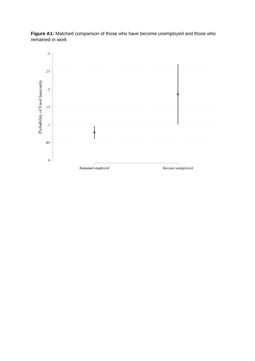

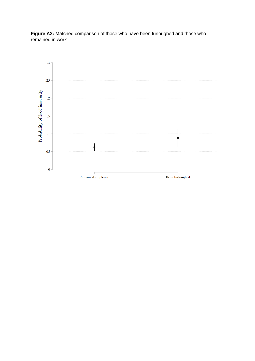